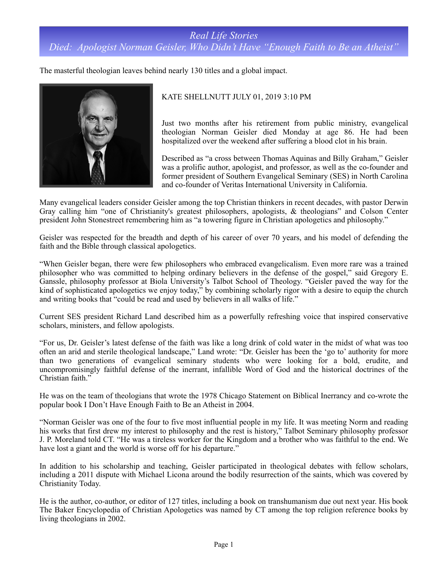## *Real Life Stories Died: Apologist Norman Geisler, Who Didn't Have "Enough Faith to Be an Atheist"*

The masterful theologian leaves behind nearly 130 titles and a global impact.



## KATE SHELLNUTT JULY 01, 2019 3:10 PM

Just two months after his retirement from public ministry, evangelical theologian Norman Geisler died Monday at age 86. He had been hospitalized over the weekend after suffering a blood clot in his brain.

Described as "a cross between Thomas Aquinas and Billy Graham," Geisler was a prolific author, apologist, and professor, as well as the co-founder and former president of Southern Evangelical Seminary (SES) in North Carolina and co-founder of Veritas International University in California.

Many evangelical leaders consider Geisler among the top Christian thinkers in recent decades, with pastor Derwin Gray calling him "one of Christianity's greatest philosophers, apologists, & theologians" and Colson Center president John Stonestreet remembering him as "a towering figure in Christian apologetics and philosophy."

Geisler was respected for the breadth and depth of his career of over 70 years, and his model of defending the faith and the Bible through classical apologetics.

"When Geisler began, there were few philosophers who embraced evangelicalism. Even more rare was a trained philosopher who was committed to helping ordinary believers in the defense of the gospel," said Gregory E. Ganssle, philosophy professor at Biola University's Talbot School of Theology. "Geisler paved the way for the kind of sophisticated apologetics we enjoy today," by combining scholarly rigor with a desire to equip the church and writing books that "could be read and used by believers in all walks of life."

Current SES president Richard Land described him as a powerfully refreshing voice that inspired conservative scholars, ministers, and fellow apologists.

"For us, Dr. Geisler's latest defense of the faith was like a long drink of cold water in the midst of what was too often an arid and sterile theological landscape," Land wrote: "Dr. Geisler has been the 'go to' authority for more than two generations of evangelical seminary students who were looking for a bold, erudite, and uncompromisingly faithful defense of the inerrant, infallible Word of God and the historical doctrines of the Christian faith."

He was on the team of theologians that wrote the 1978 Chicago Statement on Biblical Inerrancy and co-wrote the popular book I Don't Have Enough Faith to Be an Atheist in 2004.

"Norman Geisler was one of the four to five most influential people in my life. It was meeting Norm and reading his works that first drew my interest to philosophy and the rest is history," Talbot Seminary philosophy professor J. P. Moreland told CT. "He was a tireless worker for the Kingdom and a brother who was faithful to the end. We have lost a giant and the world is worse off for his departure."

In addition to his scholarship and teaching, Geisler participated in theological debates with fellow scholars, including a 2011 dispute with Michael Licona around the bodily resurrection of the saints, which was covered by Christianity Today.

He is the author, co-author, or editor of 127 titles, including a book on transhumanism due out next year. His book The Baker Encyclopedia of Christian Apologetics was named by CT among the top religion reference books by living theologians in 2002.